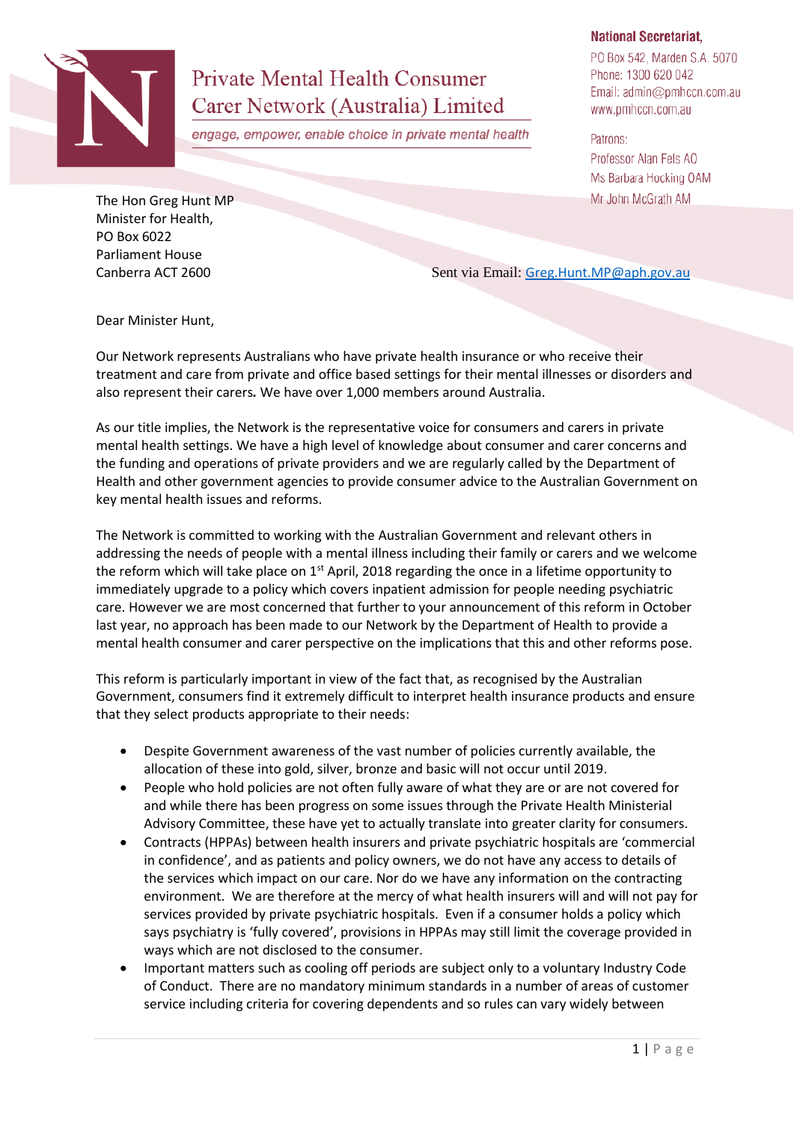

## **Private Mental Health Consumer** Carer Network (Australia) Limited

engage, empower, enable choice in private mental health

## **National Secretariat,**

PO Box 542, Marden S.A. 5070 Phone: 1300 620 042 Email: admin@pmhccn.com.au www.pmhccn.com.au

Patrons: Professor Alan Fels AO Ms Barbara Hocking OAM Mr John McGrath AM

The Hon Greg Hunt MP Minister for Health, PO Box 6022 Parliament House

Canberra ACT 2600 Sent via Email: [Greg.Hunt.MP@aph.gov.au](mailto:Greg.Hunt.MP@aph.gov.au)

Dear Minister Hunt,

Our Network represents Australians who have private health insurance or who receive their treatment and care from private and office based settings for their mental illnesses or disorders and also represent their carers*.* We have over 1,000 members around Australia.

As our title implies, the Network is the representative voice for consumers and carers in private mental health settings. We have a high level of knowledge about consumer and carer concerns and the funding and operations of private providers and we are regularly called by the Department of Health and other government agencies to provide consumer advice to the Australian Government on key mental health issues and reforms.

The Network is committed to working with the Australian Government and relevant others in addressing the needs of people with a mental illness including their family or carers and we welcome the reform which will take place on 1<sup>st</sup> April, 2018 regarding the once in a lifetime opportunity to immediately upgrade to a policy which covers inpatient admission for people needing psychiatric care. However we are most concerned that further to your announcement of this reform in October last year, no approach has been made to our Network by the Department of Health to provide a mental health consumer and carer perspective on the implications that this and other reforms pose.

This reform is particularly important in view of the fact that, as recognised by the Australian Government, consumers find it extremely difficult to interpret health insurance products and ensure that they select products appropriate to their needs:

- Despite Government awareness of the vast number of policies currently available, the allocation of these into gold, silver, bronze and basic will not occur until 2019.
- People who hold policies are not often fully aware of what they are or are not covered for and while there has been progress on some issues through the Private Health Ministerial Advisory Committee, these have yet to actually translate into greater clarity for consumers.
- Contracts (HPPAs) between health insurers and private psychiatric hospitals are 'commercial in confidence', and as patients and policy owners, we do not have any access to details of the services which impact on our care. Nor do we have any information on the contracting environment. We are therefore at the mercy of what health insurers will and will not pay for services provided by private psychiatric hospitals. Even if a consumer holds a policy which says psychiatry is 'fully covered', provisions in HPPAs may still limit the coverage provided in ways which are not disclosed to the consumer.
- Important matters such as cooling off periods are subject only to a voluntary Industry Code of Conduct. There are no mandatory minimum standards in a number of areas of customer service including criteria for covering dependents and so rules can vary widely between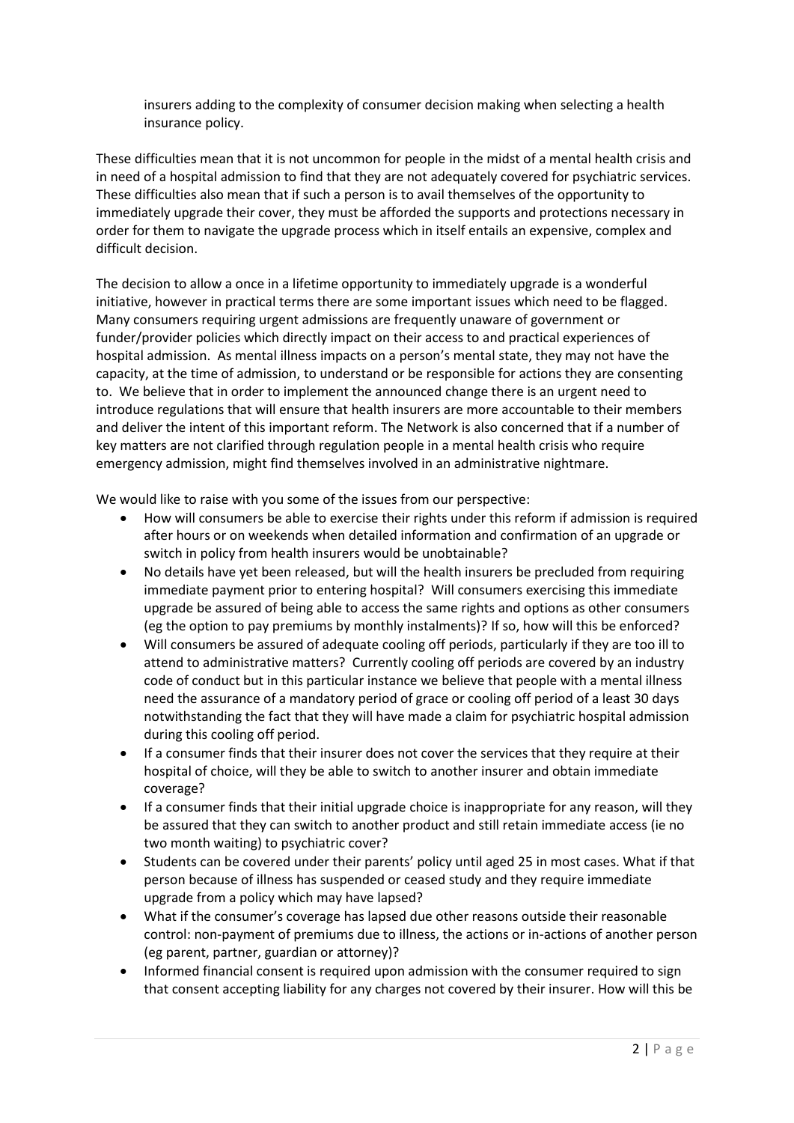insurers adding to the complexity of consumer decision making when selecting a health insurance policy.

These difficulties mean that it is not uncommon for people in the midst of a mental health crisis and in need of a hospital admission to find that they are not adequately covered for psychiatric services. These difficulties also mean that if such a person is to avail themselves of the opportunity to immediately upgrade their cover, they must be afforded the supports and protections necessary in order for them to navigate the upgrade process which in itself entails an expensive, complex and difficult decision.

The decision to allow a once in a lifetime opportunity to immediately upgrade is a wonderful initiative, however in practical terms there are some important issues which need to be flagged. Many consumers requiring urgent admissions are frequently unaware of government or funder/provider policies which directly impact on their access to and practical experiences of hospital admission. As mental illness impacts on a person's mental state, they may not have the capacity, at the time of admission, to understand or be responsible for actions they are consenting to. We believe that in order to implement the announced change there is an urgent need to introduce regulations that will ensure that health insurers are more accountable to their members and deliver the intent of this important reform. The Network is also concerned that if a number of key matters are not clarified through regulation people in a mental health crisis who require emergency admission, might find themselves involved in an administrative nightmare.

We would like to raise with you some of the issues from our perspective:

- How will consumers be able to exercise their rights under this reform if admission is required after hours or on weekends when detailed information and confirmation of an upgrade or switch in policy from health insurers would be unobtainable?
- No details have yet been released, but will the health insurers be precluded from requiring immediate payment prior to entering hospital? Will consumers exercising this immediate upgrade be assured of being able to access the same rights and options as other consumers (eg the option to pay premiums by monthly instalments)? If so, how will this be enforced?
- Will consumers be assured of adequate cooling off periods, particularly if they are too ill to attend to administrative matters? Currently cooling off periods are covered by an industry code of conduct but in this particular instance we believe that people with a mental illness need the assurance of a mandatory period of grace or cooling off period of a least 30 days notwithstanding the fact that they will have made a claim for psychiatric hospital admission during this cooling off period.
- If a consumer finds that their insurer does not cover the services that they require at their hospital of choice, will they be able to switch to another insurer and obtain immediate coverage?
- If a consumer finds that their initial upgrade choice is inappropriate for any reason, will they be assured that they can switch to another product and still retain immediate access (ie no two month waiting) to psychiatric cover?
- Students can be covered under their parents' policy until aged 25 in most cases. What if that person because of illness has suspended or ceased study and they require immediate upgrade from a policy which may have lapsed?
- What if the consumer's coverage has lapsed due other reasons outside their reasonable control: non-payment of premiums due to illness, the actions or in-actions of another person (eg parent, partner, guardian or attorney)?
- Informed financial consent is required upon admission with the consumer required to sign that consent accepting liability for any charges not covered by their insurer. How will this be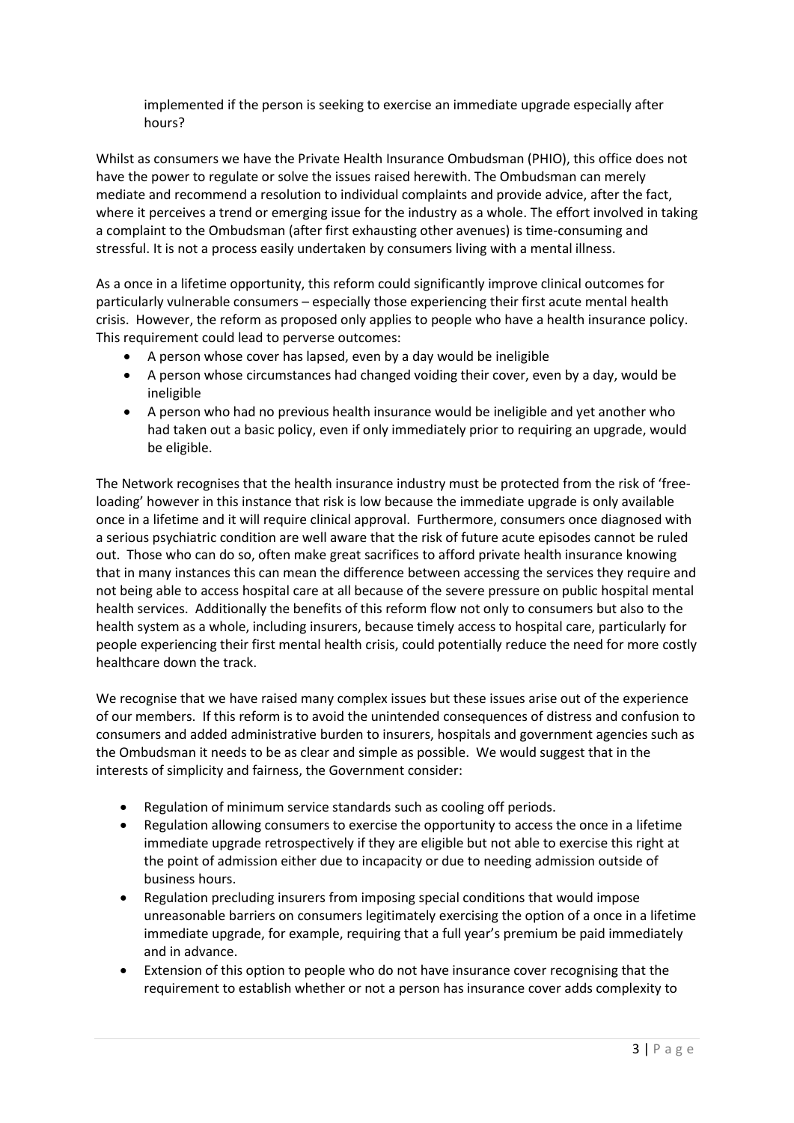implemented if the person is seeking to exercise an immediate upgrade especially after hours?

Whilst as consumers we have the Private Health Insurance Ombudsman (PHIO), this office does not have the power to regulate or solve the issues raised herewith. The Ombudsman can merely mediate and recommend a resolution to individual complaints and provide advice, after the fact, where it perceives a trend or emerging issue for the industry as a whole. The effort involved in taking a complaint to the Ombudsman (after first exhausting other avenues) is time-consuming and stressful. It is not a process easily undertaken by consumers living with a mental illness.

As a once in a lifetime opportunity, this reform could significantly improve clinical outcomes for particularly vulnerable consumers – especially those experiencing their first acute mental health crisis. However, the reform as proposed only applies to people who have a health insurance policy. This requirement could lead to perverse outcomes:

- A person whose cover has lapsed, even by a day would be ineligible
- A person whose circumstances had changed voiding their cover, even by a day, would be ineligible
- A person who had no previous health insurance would be ineligible and yet another who had taken out a basic policy, even if only immediately prior to requiring an upgrade, would be eligible.

The Network recognises that the health insurance industry must be protected from the risk of 'freeloading' however in this instance that risk is low because the immediate upgrade is only available once in a lifetime and it will require clinical approval. Furthermore, consumers once diagnosed with a serious psychiatric condition are well aware that the risk of future acute episodes cannot be ruled out. Those who can do so, often make great sacrifices to afford private health insurance knowing that in many instances this can mean the difference between accessing the services they require and not being able to access hospital care at all because of the severe pressure on public hospital mental health services. Additionally the benefits of this reform flow not only to consumers but also to the health system as a whole, including insurers, because timely access to hospital care, particularly for people experiencing their first mental health crisis, could potentially reduce the need for more costly healthcare down the track.

We recognise that we have raised many complex issues but these issues arise out of the experience of our members. If this reform is to avoid the unintended consequences of distress and confusion to consumers and added administrative burden to insurers, hospitals and government agencies such as the Ombudsman it needs to be as clear and simple as possible. We would suggest that in the interests of simplicity and fairness, the Government consider:

- Regulation of minimum service standards such as cooling off periods.
- Regulation allowing consumers to exercise the opportunity to access the once in a lifetime immediate upgrade retrospectively if they are eligible but not able to exercise this right at the point of admission either due to incapacity or due to needing admission outside of business hours.
- Regulation precluding insurers from imposing special conditions that would impose unreasonable barriers on consumers legitimately exercising the option of a once in a lifetime immediate upgrade, for example, requiring that a full year's premium be paid immediately and in advance.
- Extension of this option to people who do not have insurance cover recognising that the requirement to establish whether or not a person has insurance cover adds complexity to